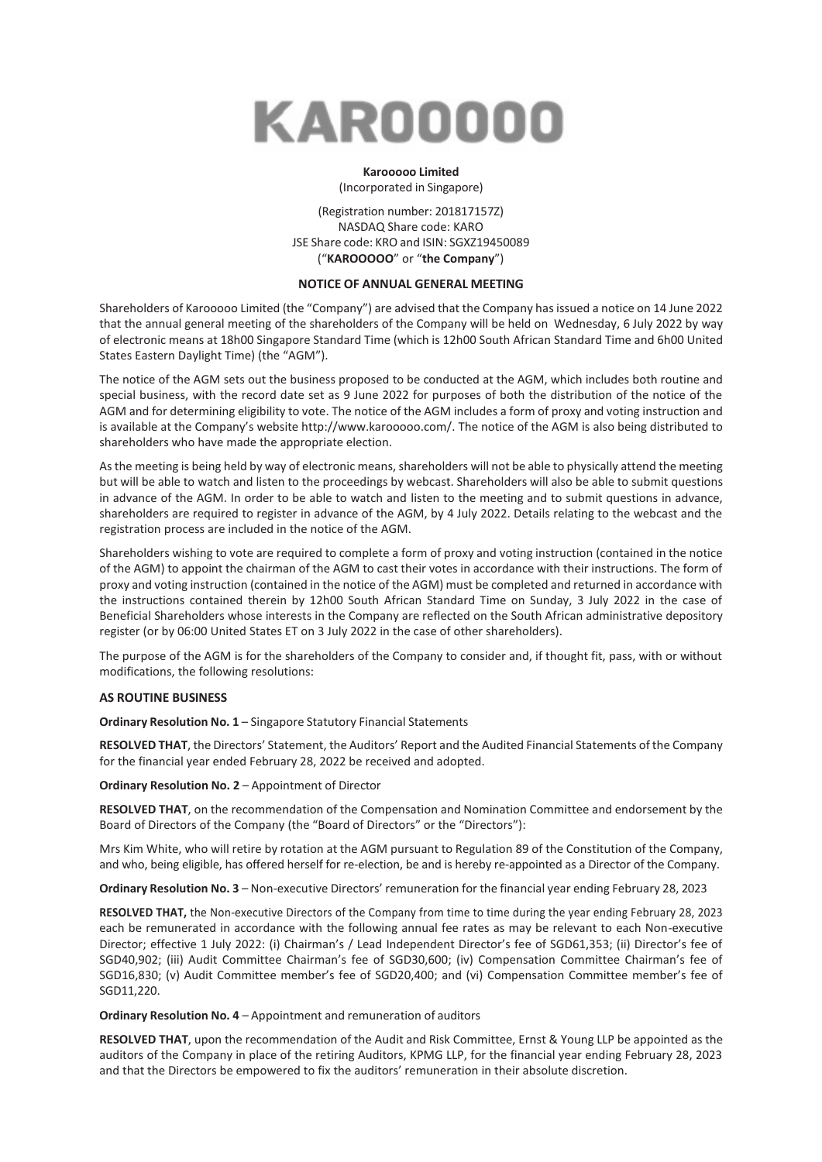

## **Karooooo Limited**

(Incorporated in Singapore)

(Registration number: 201817157Z) NASDAQ Share code: KARO JSE Share code: KRO and ISIN: SGXZ19450089 ("**KAROOOOO**" or "**the Company**")

## **NOTICE OF ANNUAL GENERAL MEETING**

Shareholders of Karooooo Limited (the "Company") are advised that the Company has issued a notice on 14 June 2022 that the annual general meeting of the shareholders of the Company will be held on Wednesday, 6 July 2022 by way of electronic means at 18h00 Singapore Standard Time (which is 12h00 South African Standard Time and 6h00 United States Eastern Daylight Time) (the "AGM").

The notice of the AGM sets out the business proposed to be conducted at the AGM, which includes both routine and special business, with the record date set as 9 June 2022 for purposes of both the distribution of the notice of the AGM and for determining eligibility to vote. The notice of the AGM includes a form of proxy and voting instruction and is available at the Company's website [http://www.karooooo.com/.](http://www.karooooo.com/) The notice of the AGM is also being distributed to shareholders who have made the appropriate election.

Asthe meeting is being held by way of electronic means, shareholders will not be able to physically attend the meeting but will be able to watch and listen to the proceedings by webcast. Shareholders will also be able to submit questions in advance of the AGM. In order to be able to watch and listen to the meeting and to submit questions in advance, shareholders are required to register in advance of the AGM, by 4 July 2022. Details relating to the webcast and the registration process are included in the notice of the AGM.

Shareholders wishing to vote are required to complete a form of proxy and voting instruction (contained in the notice of the AGM) to appoint the chairman of the AGM to cast their votes in accordance with their instructions. The form of proxy and voting instruction (contained in the notice of the AGM) must be completed and returned in accordance with the instructions contained therein by 12h00 South African Standard Time on Sunday, 3 July 2022 in the case of Beneficial Shareholders whose interests in the Company are reflected on the South African administrative depository register (or by 06:00 United States ET on 3 July 2022 in the case of other shareholders).

The purpose of the AGM is for the shareholders of the Company to consider and, if thought fit, pass, with or without modifications, the following resolutions:

#### **AS ROUTINE BUSINESS**

**Ordinary Resolution No. 1** – Singapore Statutory Financial Statements

**RESOLVED THAT**, the Directors' Statement, the Auditors' Report and the Audited Financial Statements of the Company for the financial year ended February 28, 2022 be received and adopted.

**Ordinary Resolution No. 2** – Appointment of Director

**RESOLVED THAT**, on the recommendation of the Compensation and Nomination Committee and endorsement by the Board of Directors of the Company (the "Board of Directors" or the "Directors"):

Mrs Kim White, who will retire by rotation at the AGM pursuant to Regulation 89 of the Constitution of the Company, and who, being eligible, has offered herself for re-election, be and is hereby re-appointed as a Director of the Company.

**Ordinary Resolution No. 3** – Non-executive Directors' remuneration for the financial year ending February 28, 2023

**RESOLVED THAT,** the Non-executive Directors of the Company from time to time during the year ending February 28, 2023 each be remunerated in accordance with the following annual fee rates as may be relevant to each Non-executive Director; effective 1 July 2022: (i) Chairman's / Lead Independent Director's fee of SGD61,353; (ii) Director's fee of SGD40,902; (iii) Audit Committee Chairman's fee of SGD30,600; (iv) Compensation Committee Chairman's fee of SGD16,830; (v) Audit Committee member's fee of SGD20,400; and (vi) Compensation Committee member's fee of SGD11,220.

**Ordinary Resolution No. 4** – Appointment and remuneration of auditors

**RESOLVED THAT**, upon the recommendation of the Audit and Risk Committee, Ernst & Young LLP be appointed as the auditors of the Company in place of the retiring Auditors, KPMG LLP, for the financial year ending February 28, 2023 and that the Directors be empowered to fix the auditors' remuneration in their absolute discretion.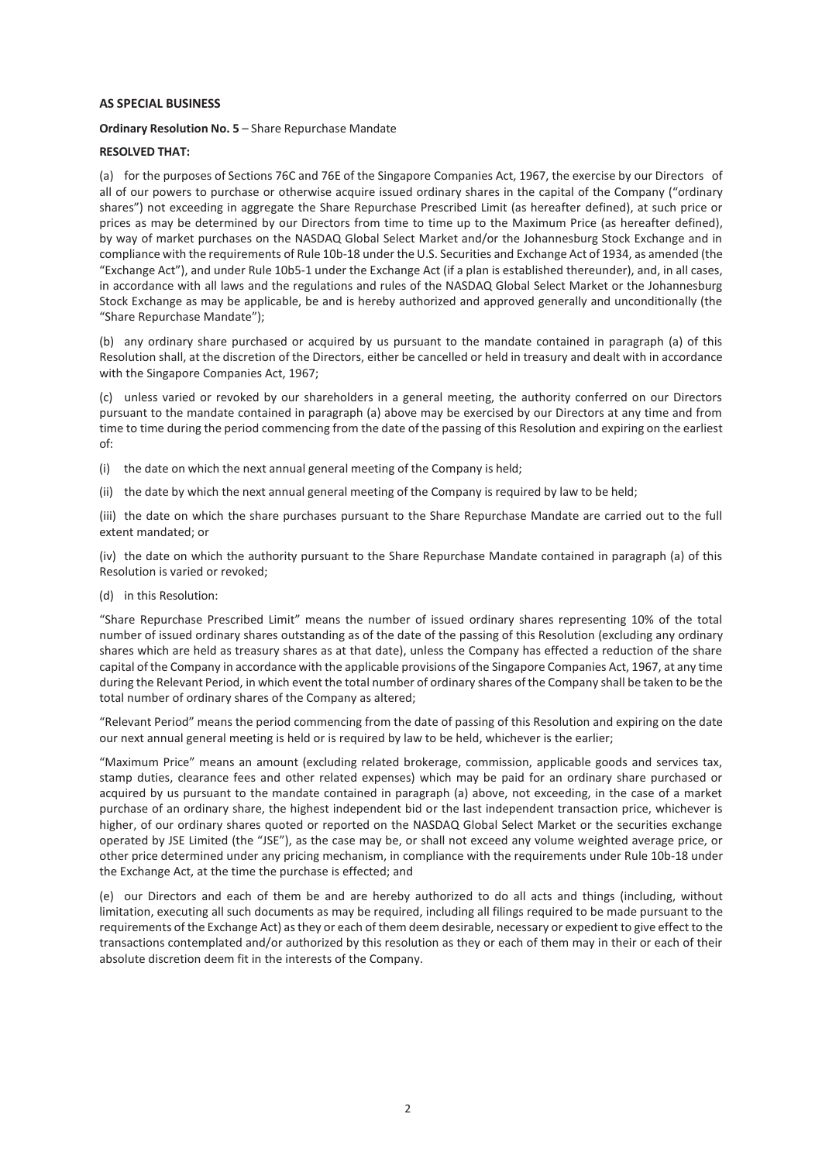#### **AS SPECIAL BUSINESS**

**Ordinary Resolution No. 5** – Share Repurchase Mandate

#### **RESOLVED THAT:**

(a) for the purposes of Sections 76C and 76E of the Singapore Companies Act, 1967, the exercise by our Directors of all of our powers to purchase or otherwise acquire issued ordinary shares in the capital of the Company ("ordinary shares") not exceeding in aggregate the Share Repurchase Prescribed Limit (as hereafter defined), at such price or prices as may be determined by our Directors from time to time up to the Maximum Price (as hereafter defined), by way of market purchases on the NASDAQ Global Select Market and/or the Johannesburg Stock Exchange and in compliance with the requirements of Rule 10b-18 under the U.S. Securities and Exchange Act of 1934, as amended (the "Exchange Act"), and under Rule 10b5-1 under the Exchange Act (if a plan is established thereunder), and, in all cases, in accordance with all laws and the regulations and rules of the NASDAQ Global Select Market or the Johannesburg Stock Exchange as may be applicable, be and is hereby authorized and approved generally and unconditionally (the "Share Repurchase Mandate");

(b) any ordinary share purchased or acquired by us pursuant to the mandate contained in paragraph (a) of this Resolution shall, at the discretion of the Directors, either be cancelled or held in treasury and dealt with in accordance with the Singapore Companies Act, 1967;

(c) unless varied or revoked by our shareholders in a general meeting, the authority conferred on our Directors pursuant to the mandate contained in paragraph (a) above may be exercised by our Directors at any time and from time to time during the period commencing from the date of the passing of this Resolution and expiring on the earliest of:

- (i) the date on which the next annual general meeting of the Company is held;
- (ii) the date by which the next annual general meeting of the Company is required by law to be held;

(iii) the date on which the share purchases pursuant to the Share Repurchase Mandate are carried out to the full extent mandated; or

(iv) the date on which the authority pursuant to the Share Repurchase Mandate contained in paragraph (a) of this Resolution is varied or revoked;

(d) in this Resolution:

"Share Repurchase Prescribed Limit" means the number of issued ordinary shares representing 10% of the total number of issued ordinary shares outstanding as of the date of the passing of this Resolution (excluding any ordinary shares which are held as treasury shares as at that date), unless the Company has effected a reduction of the share capital of the Company in accordance with the applicable provisions of the Singapore Companies Act, 1967, at any time during the Relevant Period, in which event the total number of ordinary shares of the Company shall be taken to be the total number of ordinary shares of the Company as altered;

"Relevant Period" means the period commencing from the date of passing of this Resolution and expiring on the date our next annual general meeting is held or is required by law to be held, whichever is the earlier;

"Maximum Price" means an amount (excluding related brokerage, commission, applicable goods and services tax, stamp duties, clearance fees and other related expenses) which may be paid for an ordinary share purchased or acquired by us pursuant to the mandate contained in paragraph (a) above, not exceeding, in the case of a market purchase of an ordinary share, the highest independent bid or the last independent transaction price, whichever is higher, of our ordinary shares quoted or reported on the NASDAQ Global Select Market or the securities exchange operated by JSE Limited (the "JSE"), as the case may be, or shall not exceed any volume weighted average price, or other price determined under any pricing mechanism, in compliance with the requirements under Rule 10b-18 under the Exchange Act, at the time the purchase is effected; and

(e) our Directors and each of them be and are hereby authorized to do all acts and things (including, without limitation, executing all such documents as may be required, including all filings required to be made pursuant to the requirements of the Exchange Act) asthey or each of them deem desirable, necessary or expedient to give effect to the transactions contemplated and/or authorized by this resolution as they or each of them may in their or each of their absolute discretion deem fit in the interests of the Company.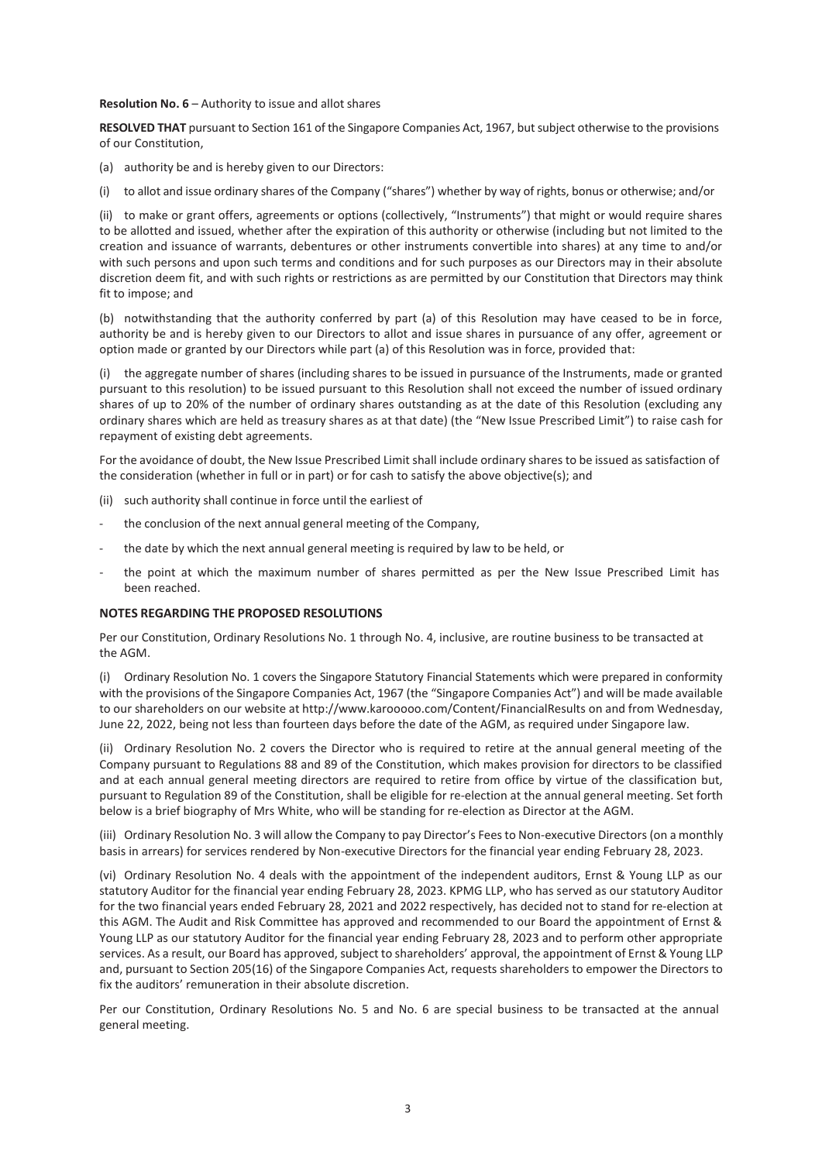**Resolution No. 6** – Authority to issue and allot shares

RESOLVED THAT pursuant to Section 161 of the Singapore Companies Act, 1967, but subject otherwise to the provisions of our Constitution,

- (a) authority be and is hereby given to our Directors:
- (i) to allot and issue ordinary shares of the Company ("shares") whether by way of rights, bonus or otherwise; and/or

(ii) to make or grant offers, agreements or options (collectively, "Instruments") that might or would require shares to be allotted and issued, whether after the expiration of this authority or otherwise (including but not limited to the creation and issuance of warrants, debentures or other instruments convertible into shares) at any time to and/or with such persons and upon such terms and conditions and for such purposes as our Directors may in their absolute discretion deem fit, and with such rights or restrictions as are permitted by our Constitution that Directors may think fit to impose; and

(b) notwithstanding that the authority conferred by part (a) of this Resolution may have ceased to be in force, authority be and is hereby given to our Directors to allot and issue shares in pursuance of any offer, agreement or option made or granted by our Directors while part (a) of this Resolution was in force, provided that:

(i) the aggregate number of shares (including shares to be issued in pursuance of the Instruments, made or granted pursuant to this resolution) to be issued pursuant to this Resolution shall not exceed the number of issued ordinary shares of up to 20% of the number of ordinary shares outstanding as at the date of this Resolution (excluding any ordinary shares which are held as treasury shares as at that date) (the "New Issue Prescribed Limit") to raise cash for repayment of existing debt agreements.

For the avoidance of doubt, the New Issue Prescribed Limit shall include ordinary shares to be issued assatisfaction of the consideration (whether in full or in part) or for cash to satisfy the above objective(s); and

- (ii) such authority shall continue in force until the earliest of
- the conclusion of the next annual general meeting of the Company,
- the date by which the next annual general meeting is required by law to be held, or
- the point at which the maximum number of shares permitted as per the New Issue Prescribed Limit has been reached.

#### **NOTES REGARDING THE PROPOSED RESOLUTIONS**

Per our Constitution, Ordinary Resolutions No. 1 through No. 4, inclusive, are routine business to be transacted at the AGM.

(i) Ordinary Resolution No. 1 covers the Singapore Statutory Financial Statements which were prepared in conformity with the provisions of the Singapore Companies Act, 1967 (the "Singapore Companies Act") and will be made available to our shareholders on our website at <http://www.karooooo.com/Content/FinancialResults> on and from Wednesday, June 22, 2022, being not less than fourteen days before the date of the AGM, as required under Singapore law.

(ii) Ordinary Resolution No. 2 covers the Director who is required to retire at the annual general meeting of the Company pursuant to Regulations 88 and 89 of the Constitution, which makes provision for directors to be classified and at each annual general meeting directors are required to retire from office by virtue of the classification but, pursuant to Regulation 89 of the Constitution, shall be eligible for re-election at the annual general meeting. Set forth below is a brief biography of Mrs White, who will be standing for re-election as Director at the AGM.

(iii) Ordinary Resolution No. 3 will allow the Company to pay Director's Feesto Non-executive Directors (on a monthly basis in arrears) for services rendered by Non-executive Directors for the financial year ending February 28, 2023.

(vi) Ordinary Resolution No. 4 deals with the appointment of the independent auditors, Ernst & Young LLP as our statutory Auditor for the financial year ending February 28, 2023. KPMG LLP, who has served as our statutory Auditor for the two financial years ended February 28, 2021 and 2022 respectively, has decided not to stand for re-election at this AGM. The Audit and Risk Committee has approved and recommended to our Board the appointment of Ernst & Young LLP as our statutory Auditor for the financial year ending February 28, 2023 and to perform other appropriate services. As a result, our Board has approved, subject to shareholders' approval, the appointment of Ernst & Young LLP and, pursuant to Section 205(16) of the Singapore Companies Act, requests shareholders to empower the Directors to fix the auditors' remuneration in their absolute discretion.

Per our Constitution, Ordinary Resolutions No. 5 and No. 6 are special business to be transacted at the annual general meeting.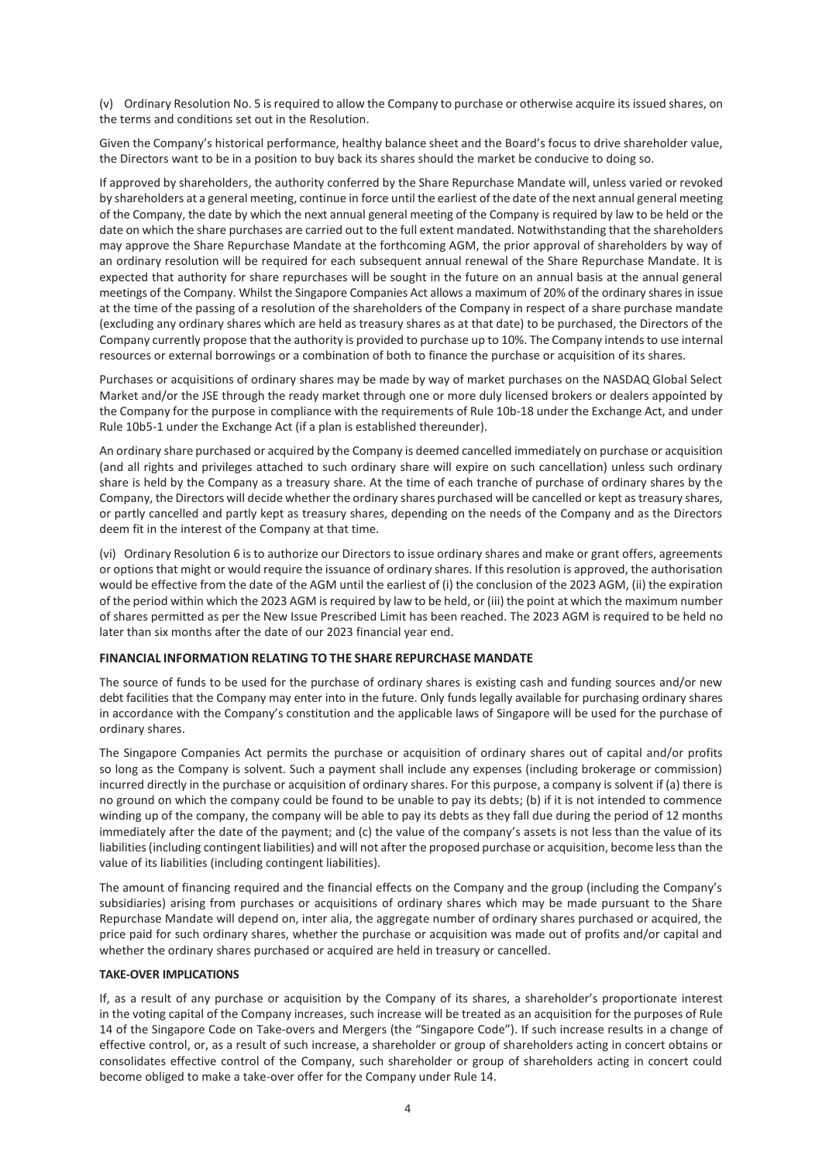(v) Ordinary Resolution No. 5 isrequired to allow the Company to purchase or otherwise acquire its issued shares, on the terms and conditions set out in the Resolution.

Given the Company's historical performance, healthy balance sheet and the Board's focus to drive shareholder value, the Directors want to be in a position to buy back its shares should the market be conducive to doing so.

If approved by shareholders, the authority conferred by the Share Repurchase Mandate will, unless varied or revoked by shareholders at a general meeting, continue in force until the earliest of the date of the next annual general meeting of the Company, the date by which the next annual general meeting of the Company is required by law to be held or the date on which the share purchases are carried out to the full extent mandated. Notwithstanding that the shareholders may approve the Share Repurchase Mandate at the forthcoming AGM, the prior approval of shareholders by way of an ordinary resolution will be required for each subsequent annual renewal of the Share Repurchase Mandate. It is expected that authority for share repurchases will be sought in the future on an annual basis at the annual general meetings of the Company. Whilst the Singapore Companies Act allows a maximum of 20% of the ordinary sharesin issue at the time of the passing of a resolution of the shareholders of the Company in respect of a share purchase mandate (excluding any ordinary shares which are held as treasury shares as at that date) to be purchased, the Directors of the Company currently propose that the authority is provided to purchase up to 10%. The Company intends to use internal resources or external borrowings or a combination of both to finance the purchase or acquisition of its shares.

Purchases or acquisitions of ordinary shares may be made by way of market purchases on the NASDAQ Global Select Market and/or the JSE through the ready market through one or more duly licensed brokers or dealers appointed by the Company for the purpose in compliance with the requirements of Rule 10b-18 under the Exchange Act, and under Rule 10b5-1 under the Exchange Act (if a plan is established thereunder).

An ordinary share purchased or acquired by the Company is deemed cancelled immediately on purchase or acquisition (and all rights and privileges attached to such ordinary share will expire on such cancellation) unless such ordinary share is held by the Company as a treasury share. At the time of each tranche of purchase of ordinary shares by the Company, the Directors will decide whether the ordinary shares purchased will be cancelled or kept astreasury shares, or partly cancelled and partly kept as treasury shares, depending on the needs of the Company and as the Directors deem fit in the interest of the Company at that time.

(vi) Ordinary Resolution 6 is to authorize our Directors to issue ordinary shares and make or grant offers, agreements or optionsthat might or would require the issuance of ordinary shares. If thisresolution is approved, the authorisation would be effective from the date of the AGM until the earliest of (i) the conclusion of the 2023 AGM, (ii) the expiration of the period within which the 2023 AGM isrequired by law to be held, or (iii) the point at which the maximum number of shares permitted as per the New Issue Prescribed Limit has been reached. The 2023 AGM is required to be held no later than six months after the date of our 2023 financial year end.

#### **FINANCIAL INFORMATION RELATING TO THE SHARE REPURCHASE MANDATE**

The source of funds to be used for the purchase of ordinary shares is existing cash and funding sources and/or new debt facilities that the Company may enter into in the future. Only funds legally available for purchasing ordinary shares in accordance with the Company's constitution and the applicable laws of Singapore will be used for the purchase of ordinary shares.

The Singapore Companies Act permits the purchase or acquisition of ordinary shares out of capital and/or profits so long as the Company is solvent. Such a payment shall include any expenses (including brokerage or commission) incurred directly in the purchase or acquisition of ordinary shares. For this purpose, a company is solvent if (a) there is no ground on which the company could be found to be unable to pay its debts; (b) if it is not intended to commence winding up of the company, the company will be able to pay its debts as they fall due during the period of 12 months immediately after the date of the payment; and (c) the value of the company's assets is not less than the value of its liabilities(including contingent liabilities) and will not after the proposed purchase or acquisition, become lessthan the value of its liabilities (including contingent liabilities).

The amount of financing required and the financial effects on the Company and the group (including the Company's subsidiaries) arising from purchases or acquisitions of ordinary shares which may be made pursuant to the Share Repurchase Mandate will depend on, inter alia, the aggregate number of ordinary shares purchased or acquired, the price paid for such ordinary shares, whether the purchase or acquisition was made out of profits and/or capital and whether the ordinary shares purchased or acquired are held in treasury or cancelled.

#### **TAKE-OVER IMPLICATIONS**

If, as a result of any purchase or acquisition by the Company of its shares, a shareholder's proportionate interest in the voting capital of the Company increases, such increase will be treated as an acquisition for the purposes of Rule 14 of the Singapore Code on Take-overs and Mergers (the "Singapore Code"). If such increase results in a change of effective control, or, as a result of such increase, a shareholder or group of shareholders acting in concert obtains or consolidates effective control of the Company, such shareholder or group of shareholders acting in concert could become obliged to make a take-over offer for the Company under Rule 14.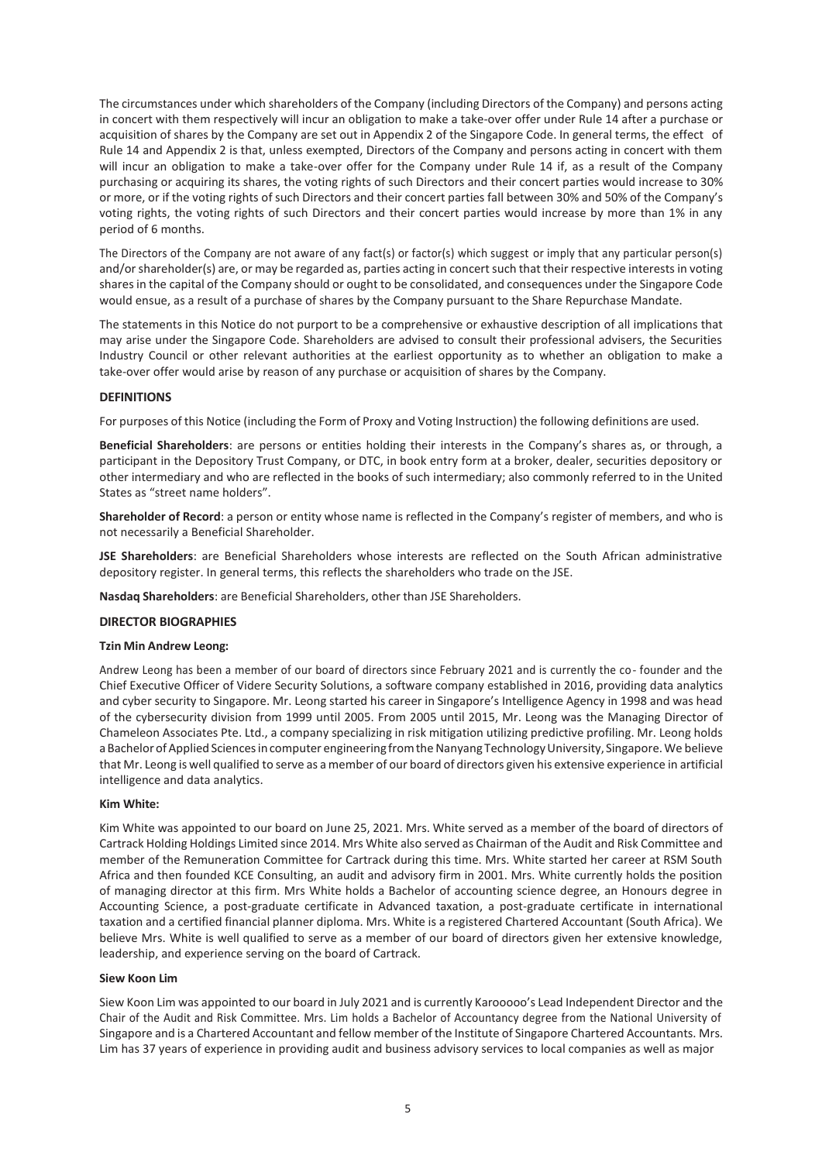The circumstances under which shareholders of the Company (including Directors of the Company) and persons acting in concert with them respectively will incur an obligation to make a take-over offer under Rule 14 after a purchase or acquisition of shares by the Company are set out in Appendix 2 of the Singapore Code. In general terms, the effect of Rule 14 and Appendix 2 is that, unless exempted, Directors of the Company and persons acting in concert with them will incur an obligation to make a take-over offer for the Company under Rule 14 if, as a result of the Company purchasing or acquiring its shares, the voting rights of such Directors and their concert parties would increase to 30% or more, or if the voting rights of such Directors and their concert parties fall between 30% and 50% of the Company's voting rights, the voting rights of such Directors and their concert parties would increase by more than 1% in any period of 6 months.

The Directors of the Company are not aware of any fact(s) or factor(s) which suggest or imply that any particular person(s) and/or shareholder(s) are, or may be regarded as, parties acting in concert such that their respective interests in voting sharesin the capital of the Company should or ought to be consolidated, and consequences under the Singapore Code would ensue, as a result of a purchase of shares by the Company pursuant to the Share Repurchase Mandate.

The statements in this Notice do not purport to be a comprehensive or exhaustive description of all implications that may arise under the Singapore Code. Shareholders are advised to consult their professional advisers, the Securities Industry Council or other relevant authorities at the earliest opportunity as to whether an obligation to make a take-over offer would arise by reason of any purchase or acquisition of shares by the Company.

#### **DEFINITIONS**

For purposes of this Notice (including the Form of Proxy and Voting Instruction) the following definitions are used.

**Beneficial Shareholders**: are persons or entities holding their interests in the Company's shares as, or through, a participant in the Depository Trust Company, or DTC, in book entry form at a broker, dealer, securities depository or other intermediary and who are reflected in the books of such intermediary; also commonly referred to in the United States as "street name holders".

**Shareholder of Record**: a person or entity whose name is reflected in the Company's register of members, and who is not necessarily a Beneficial Shareholder.

**JSE Shareholders**: are Beneficial Shareholders whose interests are reflected on the South African administrative depository register. In general terms, this reflects the shareholders who trade on the JSE.

**Nasdaq Shareholders**: are Beneficial Shareholders, other than JSE Shareholders.

#### **DIRECTOR BIOGRAPHIES**

#### **Tzin Min Andrew Leong:**

Andrew Leong has been a member of our board of directors since February 2021 and is currently the co- founder and the Chief Executive Officer of Videre Security Solutions, a software company established in 2016, providing data analytics and cyber security to Singapore. Mr. Leong started his career in Singapore's Intelligence Agency in 1998 and was head of the cybersecurity division from 1999 until 2005. From 2005 until 2015, Mr. Leong was the Managing Director of Chameleon Associates Pte. Ltd., a company specializing in risk mitigation utilizing predictive profiling. Mr. Leong holds a Bachelor of Applied Sciences in computer engineering from the Nanyang Technology University, Singapore. We believe that Mr. Leong is well qualified to serve as a member of our board of directors given his extensive experience in artificial intelligence and data analytics.

#### **Kim White:**

Kim White was appointed to our board on June 25, 2021. Mrs. White served as a member of the board of directors of Cartrack Holding Holdings Limited since 2014. Mrs White also served as Chairman of the Audit and Risk Committee and member of the Remuneration Committee for Cartrack during this time. Mrs. White started her career at RSM South Africa and then founded KCE Consulting, an audit and advisory firm in 2001. Mrs. White currently holds the position of managing director at this firm. Mrs White holds a Bachelor of accounting science degree, an Honours degree in Accounting Science, a post-graduate certificate in Advanced taxation, a post-graduate certificate in international taxation and a certified financial planner diploma. Mrs. White is a registered Chartered Accountant (South Africa). We believe Mrs. White is well qualified to serve as a member of our board of directors given her extensive knowledge, leadership, and experience serving on the board of Cartrack.

#### **Siew Koon Lim**

Siew Koon Lim was appointed to our board in July 2021 and is currently Karooooo's Lead Independent Director and the Chair of the Audit and Risk Committee. Mrs. Lim holds a Bachelor of Accountancy degree from the National University of Singapore and is a Chartered Accountant and fellow member of the Institute of Singapore Chartered Accountants. Mrs. Lim has 37 years of experience in providing audit and business advisory services to local companies as well as major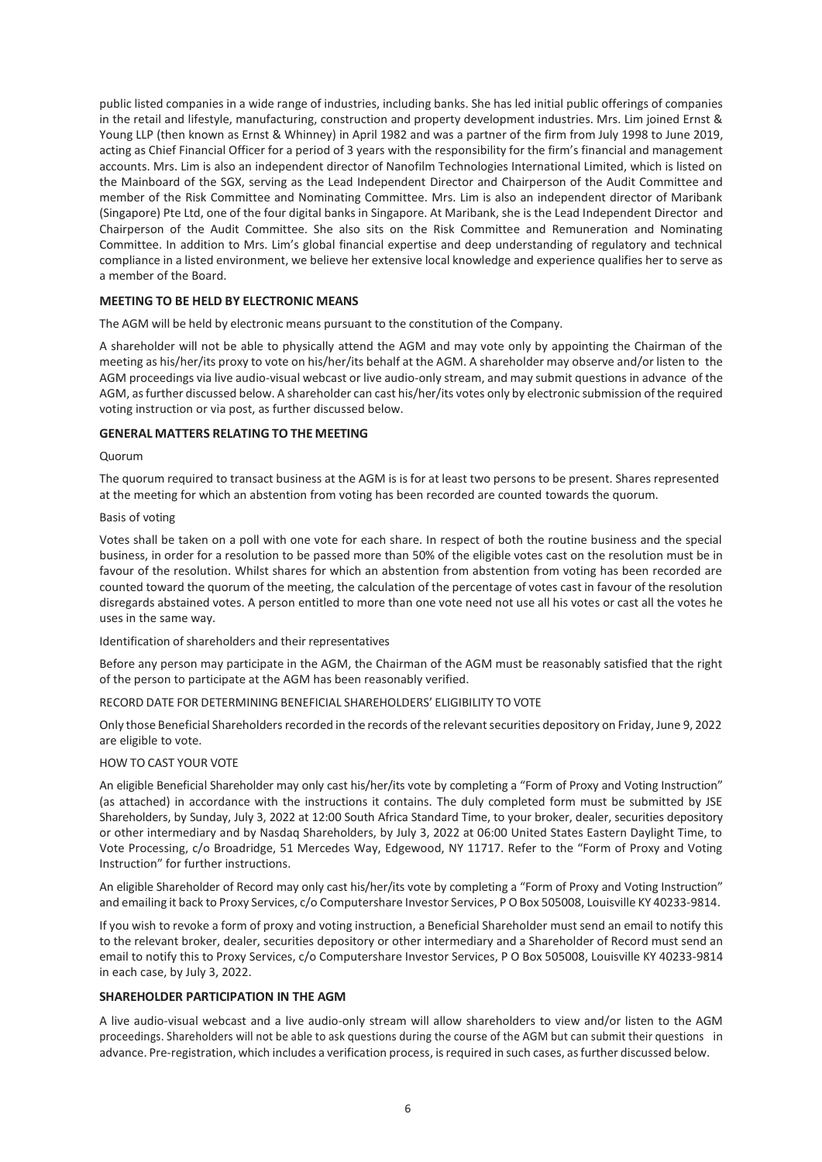public listed companies in a wide range of industries, including banks. She has led initial public offerings of companies in the retail and lifestyle, manufacturing, construction and property development industries. Mrs. Lim joined Ernst & Young LLP (then known as Ernst & Whinney) in April 1982 and was a partner of the firm from July 1998 to June 2019, acting as Chief Financial Officer for a period of 3 years with the responsibility for the firm's financial and management accounts. Mrs. Lim is also an independent director of Nanofilm Technologies International Limited, which is listed on the Mainboard of the SGX, serving as the Lead Independent Director and Chairperson of the Audit Committee and member of the Risk Committee and Nominating Committee. Mrs. Lim is also an independent director of Maribank (Singapore) Pte Ltd, one of the four digital banks in Singapore. At Maribank, she is the Lead Independent Director and Chairperson of the Audit Committee. She also sits on the Risk Committee and Remuneration and Nominating Committee. In addition to Mrs. Lim's global financial expertise and deep understanding of regulatory and technical compliance in a listed environment, we believe her extensive local knowledge and experience qualifies her to serve as a member of the Board.

#### **MEETING TO BE HELD BY ELECTRONIC MEANS**

The AGM will be held by electronic means pursuant to the constitution of the Company.

A shareholder will not be able to physically attend the AGM and may vote only by appointing the Chairman of the meeting as his/her/its proxy to vote on his/her/its behalf at the AGM. A shareholder may observe and/or listen to the AGM proceedings via live audio-visual webcast or live audio-only stream, and may submit questions in advance of the AGM, asfurther discussed below. A shareholder can cast his/her/its votes only by electronic submission ofthe required voting instruction or via post, as further discussed below.

### **GENERAL MATTERS RELATING TO THE MEETING**

#### Quorum

The quorum required to transact business at the AGM is is for at least two persons to be present. Shares represented at the meeting for which an abstention from voting has been recorded are counted towards the quorum.

#### Basis of voting

Votes shall be taken on a poll with one vote for each share. In respect of both the routine business and the special business, in order for a resolution to be passed more than 50% of the eligible votes cast on the resolution must be in favour of the resolution. Whilst shares for which an abstention from abstention from voting has been recorded are counted toward the quorum of the meeting, the calculation of the percentage of votes cast in favour of the resolution disregards abstained votes. A person entitled to more than one vote need not use all his votes or cast all the votes he uses in the same way.

Identification of shareholders and their representatives

Before any person may participate in the AGM, the Chairman of the AGM must be reasonably satisfied that the right of the person to participate at the AGM has been reasonably verified.

RECORD DATE FOR DETERMINING BENEFICIAL SHAREHOLDERS' ELIGIBILITY TO VOTE

Only those Beneficial Shareholders recorded in the records of the relevant securities depository on Friday, June 9, 2022 are eligible to vote.

#### HOW TO CAST YOUR VOTE

An eligible Beneficial Shareholder may only cast his/her/its vote by completing a "Form of Proxy and Voting Instruction" (as attached) in accordance with the instructions it contains. The duly completed form must be submitted by JSE Shareholders, by Sunday, July 3, 2022 at 12:00 South Africa Standard Time, to your broker, dealer, securities depository or other intermediary and by Nasdaq Shareholders, by July 3, 2022 at 06:00 United States Eastern Daylight Time, to Vote Processing, c/o Broadridge, 51 Mercedes Way, Edgewood, NY 11717. Refer to the "Form of Proxy and Voting Instruction" for further instructions.

An eligible Shareholder of Record may only cast his/her/its vote by completing a "Form of Proxy and Voting Instruction" and emailing it back to Proxy Services, c/o Computershare Investor Services, PO Box 505008, Louisville KY 40233-9814.

If you wish to revoke a form of proxy and voting instruction, a Beneficial Shareholder must send an email to notify this to the relevant broker, dealer, securities depository or other intermediary and a Shareholder of Record must send an email to notify this to Proxy Services, c/o Computershare Investor Services, P O Box 505008, Louisville KY 40233-9814 in each case, by July 3, 2022.

#### **SHAREHOLDER PARTICIPATION IN THE AGM**

A live audio-visual webcast and a live audio-only stream will allow shareholders to view and/or listen to the AGM proceedings. Shareholders will not be able to ask questions during the course of the AGM but can submit their questions in advance. Pre-registration, which includes a verification process, is required in such cases, as further discussed below.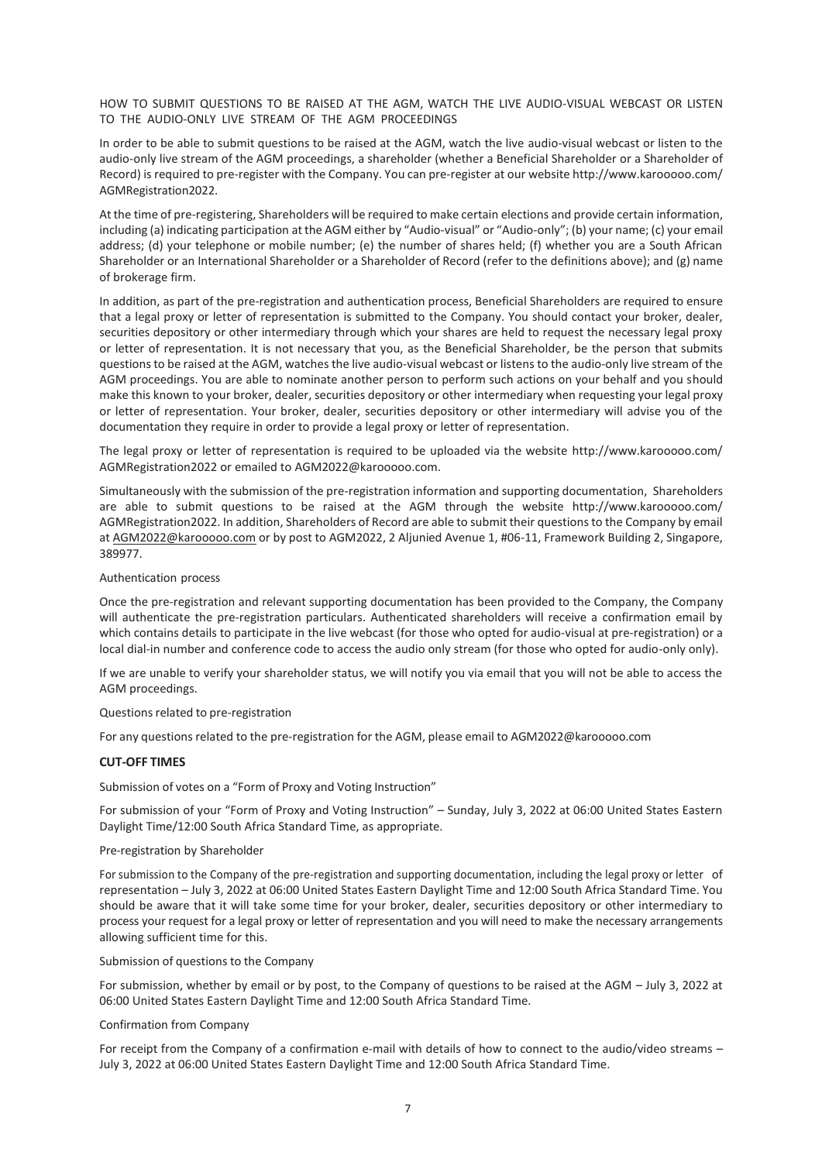HOW TO SUBMIT QUESTIONS TO BE RAISED AT THE AGM, WATCH THE LIVE AUDIO-VISUAL WEBCAST OR LISTEN TO THE AUDIO-ONLY LIVE STREAM OF THE AGM PROCEEDINGS

In order to be able to submit questions to be raised at the AGM, watch the live audio-visual webcast or listen to the audio-only live stream of the AGM proceedings, a shareholder (whether a Beneficial Shareholder or a Shareholder of Record) isrequired to pre-register with the Company. You can pre-register at our website <http://www.karooooo.com/> AGMRegistration2022.

At the time of pre-registering, Shareholders will be required to make certain elections and provide certain information, including (a) indicating participation at the AGM either by "Audio-visual" or "Audio-only"; (b) your name; (c) your email address; (d) your telephone or mobile number; (e) the number of shares held; (f) whether you are a South African Shareholder or an International Shareholder or a Shareholder of Record (refer to the definitions above); and (g) name of brokerage firm.

In addition, as part of the pre-registration and authentication process, Beneficial Shareholders are required to ensure that a legal proxy or letter of representation is submitted to the Company. You should contact your broker, dealer, securities depository or other intermediary through which your shares are held to request the necessary legal proxy or letter of representation. It is not necessary that you, as the Beneficial Shareholder, be the person that submits questionsto be raised at the AGM, watches the live audio-visual webcast or listens to the audio-only live stream of the AGM proceedings. You are able to nominate another person to perform such actions on your behalf and you should make this known to your broker, dealer, securities depository or other intermediary when requesting your legal proxy or letter of representation. Your broker, dealer, securities depository or other intermediary will advise you of the documentation they require in order to provide a legal proxy or letter of representation.

The legal proxy or letter of representation is required to be uploaded via the website<http://www.karooooo.com/> AGMRegistration2022 or emailed t[o AGM2022@karooooo.com.](mailto:AGM2022@karooooo.com)

Simultaneously with the submission of the pre-registration information and supporting documentation, Shareholders are able to submit questions to be raised at the AGM through the website <http://www.karooooo.com/> AGMRegistration2022. In addition, Shareholders of Record are able to submit their questions to the Company by email at [AGM2022@karooooo.com](mailto:AGM2022@karooooo.com) or by post to AGM2022, 2 Aljunied Avenue 1, #06-11, Framework Building 2, Singapore, 389977.

#### Authentication process

Once the pre-registration and relevant supporting documentation has been provided to the Company, the Company will authenticate the pre-registration particulars. Authenticated shareholders will receive a confirmation email by which contains details to participate in the live webcast (for those who opted for audio-visual at pre-registration) or a local dial-in number and conference code to access the audio only stream (for those who opted for audio-only only).

If we are unable to verify your shareholder status, we will notify you via email that you will not be able to access the AGM proceedings.

#### Questions related to pre-registration

For any questions related to the pre-registration for the AGM, please email to [AGM2022@karooooo.com](mailto:AGM2022@karooooo.com)

#### **CUT-OFF TIMES**

Submission of votes on a "Form of Proxy and Voting Instruction"

For submission of your "Form of Proxy and Voting Instruction" – Sunday, July 3, 2022 at 06:00 United States Eastern Daylight Time/12:00 South Africa Standard Time, as appropriate.

#### Pre-registration by Shareholder

For submission to the Company of the pre-registration and supporting documentation, including the legal proxy or letter of representation – July 3, 2022 at 06:00 United States Eastern Daylight Time and 12:00 South Africa Standard Time. You should be aware that it will take some time for your broker, dealer, securities depository or other intermediary to process your request for a legal proxy or letter of representation and you will need to make the necessary arrangements allowing sufficient time for this.

#### Submission of questions to the Company

For submission, whether by email or by post, to the Company of questions to be raised at the AGM – July 3, 2022 at 06:00 United States Eastern Daylight Time and 12:00 South Africa Standard Time.

#### Confirmation from Company

For receipt from the Company of a confirmation e-mail with details of how to connect to the audio/video streams -July 3, 2022 at 06:00 United States Eastern Daylight Time and 12:00 South Africa Standard Time.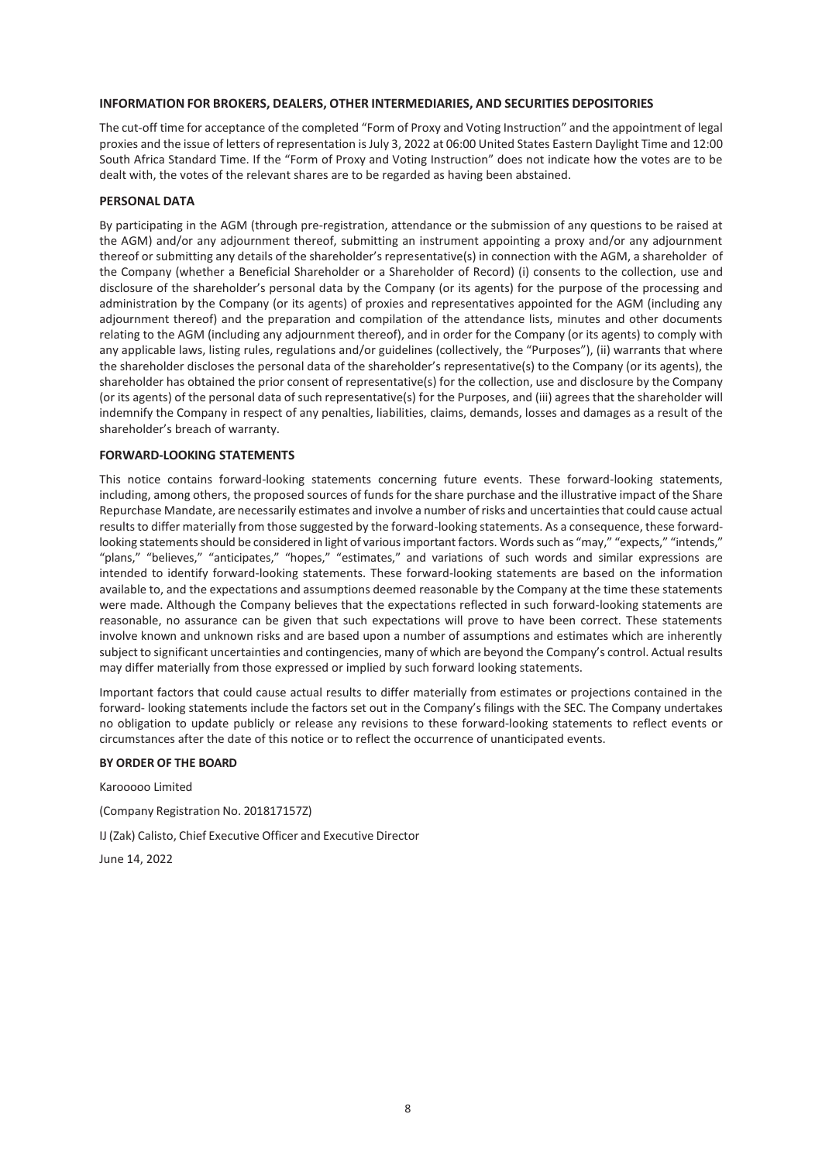#### **INFORMATION FOR BROKERS, DEALERS, OTHER INTERMEDIARIES, AND SECURITIES DEPOSITORIES**

The cut-off time for acceptance of the completed "Form of Proxy and Voting Instruction" and the appointment of legal proxies and the issue of letters of representation isJuly 3, 2022 at 06:00 United States Eastern Daylight Time and 12:00 South Africa Standard Time. If the "Form of Proxy and Voting Instruction" does not indicate how the votes are to be dealt with, the votes of the relevant shares are to be regarded as having been abstained.

#### **PERSONAL DATA**

By participating in the AGM (through pre-registration, attendance or the submission of any questions to be raised at the AGM) and/or any adjournment thereof, submitting an instrument appointing a proxy and/or any adjournment thereof or submitting any details of the shareholder's representative(s) in connection with the AGM, a shareholder of the Company (whether a Beneficial Shareholder or a Shareholder of Record) (i) consents to the collection, use and disclosure of the shareholder's personal data by the Company (or its agents) for the purpose of the processing and administration by the Company (or its agents) of proxies and representatives appointed for the AGM (including any adjournment thereof) and the preparation and compilation of the attendance lists, minutes and other documents relating to the AGM (including any adjournment thereof), and in order for the Company (or its agents) to comply with any applicable laws, listing rules, regulations and/or guidelines (collectively, the "Purposes"), (ii) warrants that where the shareholder discloses the personal data of the shareholder's representative(s) to the Company (or its agents), the shareholder has obtained the prior consent of representative(s) for the collection, use and disclosure by the Company (or its agents) of the personal data of such representative(s) for the Purposes, and (iii) agrees that the shareholder will indemnify the Company in respect of any penalties, liabilities, claims, demands, losses and damages as a result of the shareholder's breach of warranty.

#### **FORWARD-LOOKING STATEMENTS**

This notice contains forward-looking statements concerning future events. These forward-looking statements, including, among others, the proposed sources of funds for the share purchase and the illustrative impact of the Share Repurchase Mandate, are necessarily estimates and involve a number of risks and uncertainties that could cause actual results to differ materially from those suggested by the forward-looking statements. As a consequence, these forwardlooking statements should be considered in light of various important factors. Words such as "may," "expects," "intends," "plans," "believes," "anticipates," "hopes," "estimates," and variations of such words and similar expressions are intended to identify forward-looking statements. These forward-looking statements are based on the information available to, and the expectations and assumptions deemed reasonable by the Company at the time these statements were made. Although the Company believes that the expectations reflected in such forward-looking statements are reasonable, no assurance can be given that such expectations will prove to have been correct. These statements involve known and unknown risks and are based upon a number of assumptions and estimates which are inherently subject to significant uncertainties and contingencies, many of which are beyond the Company's control. Actual results may differ materially from those expressed or implied by such forward looking statements.

Important factors that could cause actual results to differ materially from estimates or projections contained in the forward- looking statements include the factors set out in the Company's filings with the SEC. The Company undertakes no obligation to update publicly or release any revisions to these forward-looking statements to reflect events or circumstances after the date of this notice or to reflect the occurrence of unanticipated events.

#### **BY ORDER OF THE BOARD**

Karooooo Limited (Company Registration No. 201817157Z)

IJ (Zak) Calisto, Chief Executive Officer and Executive Director

June 14, 2022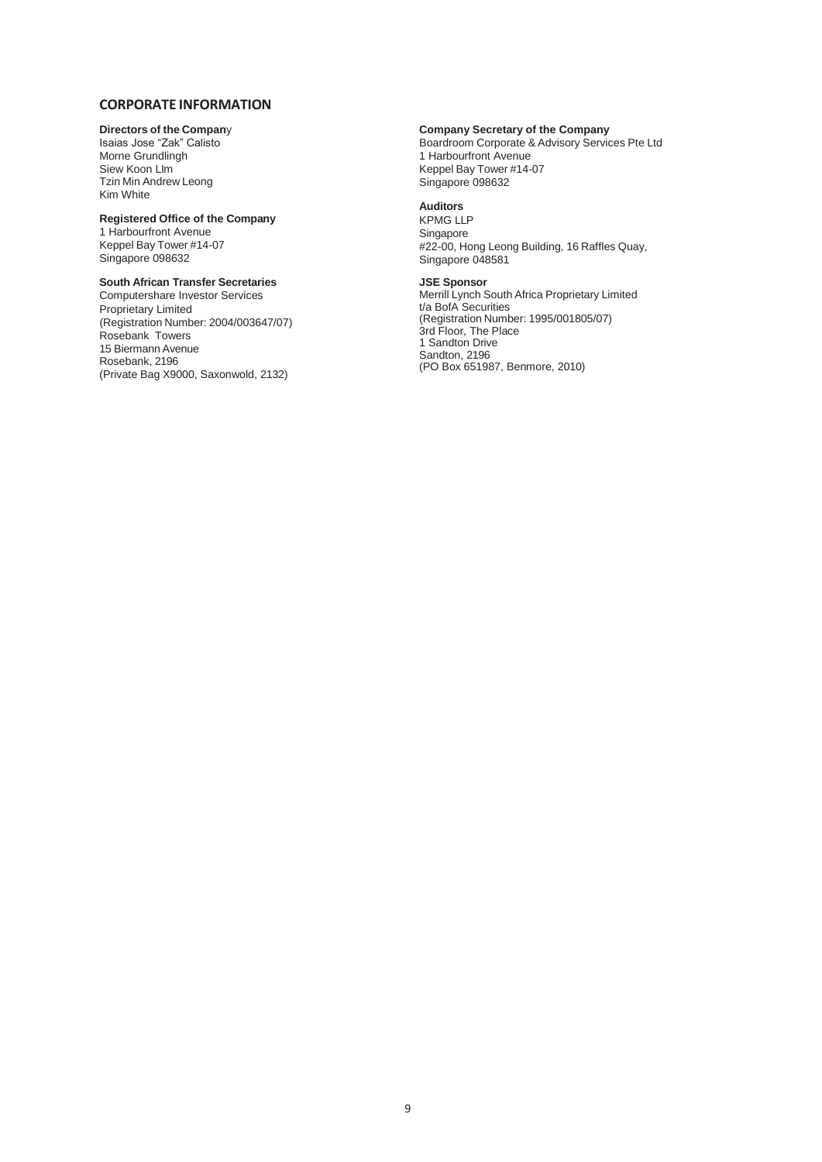## **CORPORATE INFORMATION**

### **Directors of the Compan**y

Isaias Jose "Zak" Calisto Morne Grundlingh Siew Koon LIm Tzin Min Andrew Leong Kim White

### **Registered Office of the Company**

1 Harbourfront Avenue Keppel Bay Tower #14-07 Singapore 098632

## **South African Transfer Secretaries**

Computershare Investor Services Proprietary Limited (Registration Number: 2004/003647/07) Rosebank Towers 15 Biermann Avenue Rosebank, 2196 (Private Bag X9000, Saxonwold, 2132)

#### **Company Secretary of the Company**

Boardroom Corporate & Advisory Services Pte Ltd 1 Harbourfront Avenue Keppel Bay Tower #14-07 Singapore 098632

#### **Auditors**

KPMG LLP Singapore #22-00, Hong Leong Building, 16 Raffles Quay, Singapore 048581

### **JSE Sponsor**

Merrill Lynch South Africa Proprietary Limited t/a BofA Securities (Registration Number: 1995/001805/07) 3rd Floor, The Place 1 Sandton Drive Sandton, 2196 (PO Box 651987, Benmore, 2010)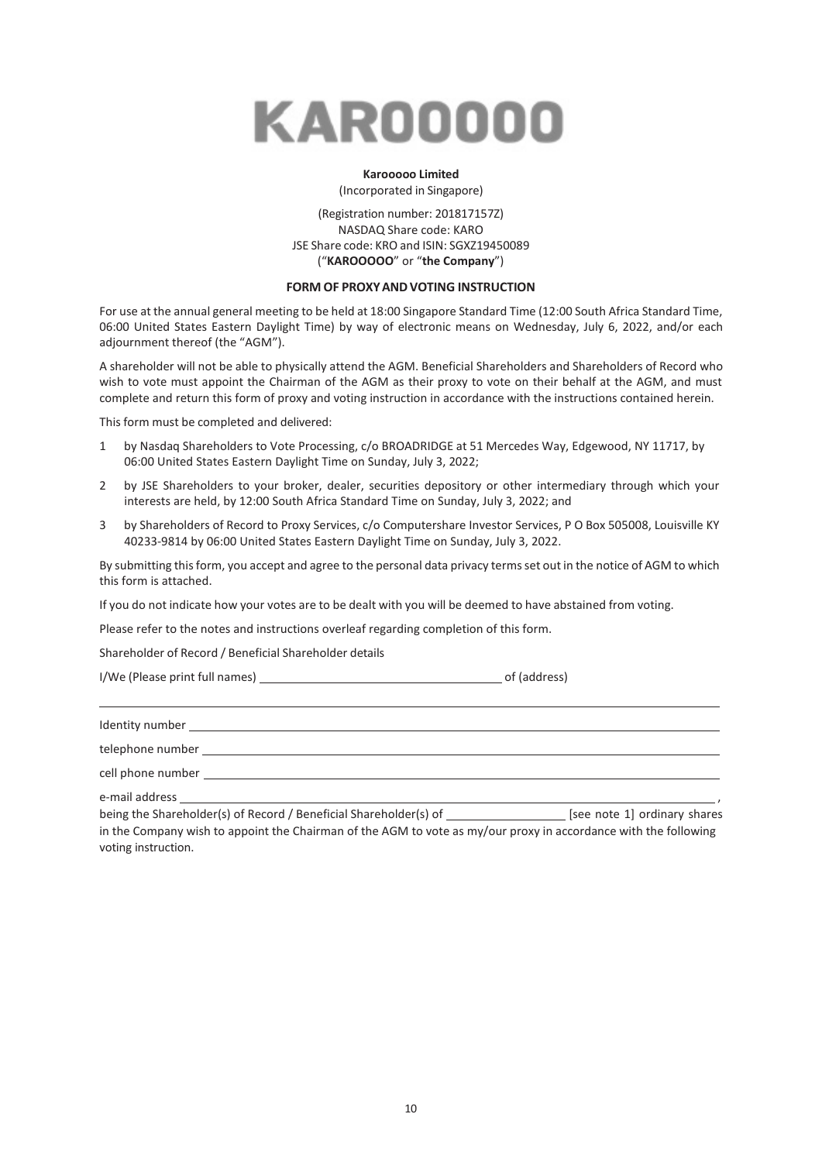

# **Karooooo Limited**

(Incorporated in Singapore)

### (Registration number: 201817157Z) NASDAQ Share code: KARO JSE Share code: KRO and ISIN: SGXZ19450089 ("**KAROOOOO**" or "**the Company**")

#### **FORM OF PROXYANDVOTING INSTRUCTION**

For use at the annual general meeting to be held at 18:00 Singapore Standard Time (12:00 South Africa Standard Time, 06:00 United States Eastern Daylight Time) by way of electronic means on Wednesday, July 6, 2022, and/or each adjournment thereof (the "AGM").

A shareholder will not be able to physically attend the AGM. Beneficial Shareholders and Shareholders of Record who wish to vote must appoint the Chairman of the AGM as their proxy to vote on their behalf at the AGM, and must complete and return this form of proxy and voting instruction in accordance with the instructions contained herein.

This form must be completed and delivered:

- 1 by Nasdaq Shareholders to Vote Processing, c/o BROADRIDGE at 51 Mercedes Way, Edgewood, NY 11717, by 06:00 United States Eastern Daylight Time on Sunday, July 3, 2022;
- 2 by JSE Shareholders to your broker, dealer, securities depository or other intermediary through which your interests are held, by 12:00 South Africa Standard Time on Sunday, July 3, 2022; and
- 3 by Shareholders of Record to Proxy Services, c/o Computershare Investor Services, P O Box 505008, Louisville KY 40233-9814 by 06:00 United States Eastern Daylight Time on Sunday, July 3, 2022.

By submitting this form, you accept and agree to the personal data privacy terms set out in the notice of AGM to which this form is attached.

If you do not indicate how your votes are to be dealt with you will be deemed to have abstained from voting.

Please refer to the notes and instructions overleaf regarding completion of this form.

Shareholder of Record / Beneficial Shareholder details

I/We (Please print full names) of (address)

| Identity number   |  |
|-------------------|--|
|                   |  |
| cell phone number |  |
| e-mail address    |  |

being the Shareholder(s) of Record / Beneficial Shareholder(s) of \_\_\_\_\_\_\_\_\_\_\_\_\_\_\_\_\_\_\_ [see note 1] ordinary shares in the Company wish to appoint the Chairman of the AGM to vote as my/our proxy in accordance with the following voting instruction.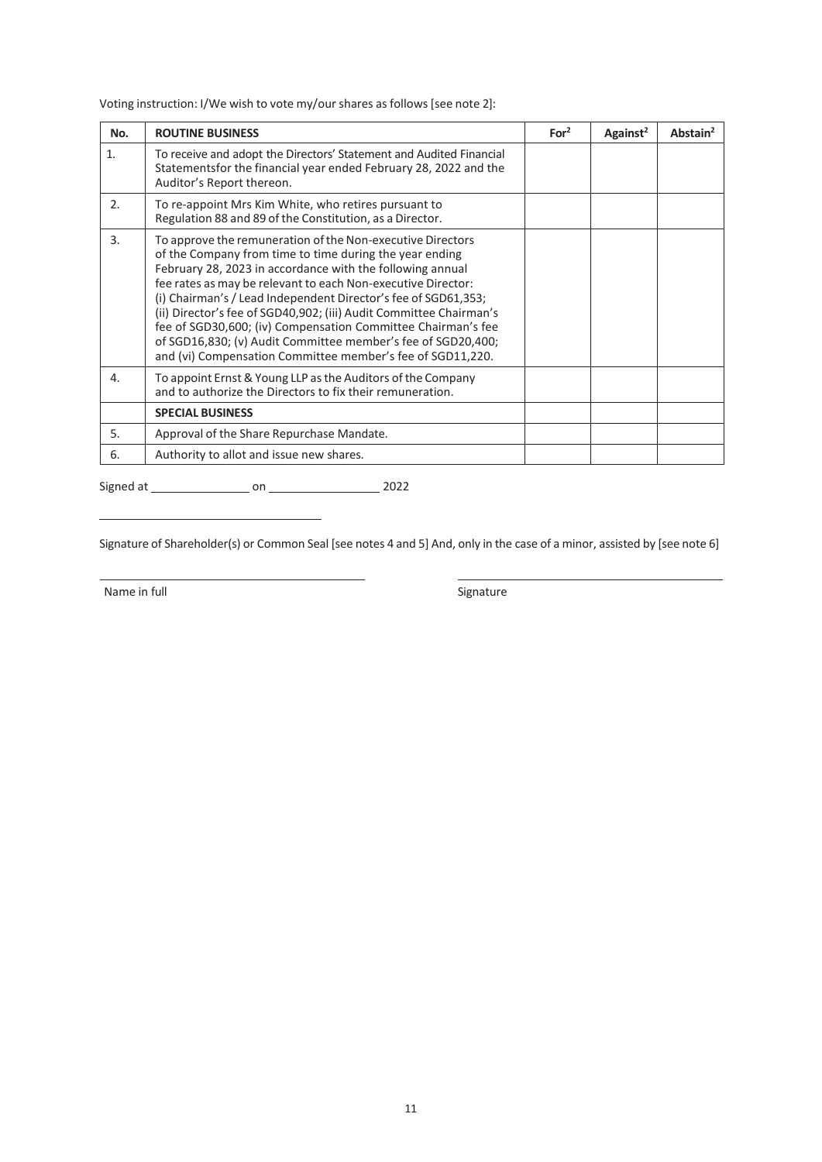Voting instruction: I/We wish to vote my/our shares as follows [see note 2]:

| No. | <b>ROUTINE BUSINESS</b>                                                                                                                                                                                                                                                                                                                                                                                                                                                                                                                                                                  | For <sup>2</sup> | Against <sup>2</sup> | Abstain <sup>2</sup> |
|-----|------------------------------------------------------------------------------------------------------------------------------------------------------------------------------------------------------------------------------------------------------------------------------------------------------------------------------------------------------------------------------------------------------------------------------------------------------------------------------------------------------------------------------------------------------------------------------------------|------------------|----------------------|----------------------|
| 1.  | To receive and adopt the Directors' Statement and Audited Financial<br>Statementsfor the financial year ended February 28, 2022 and the<br>Auditor's Report thereon.                                                                                                                                                                                                                                                                                                                                                                                                                     |                  |                      |                      |
| 2.5 | To re-appoint Mrs Kim White, who retires pursuant to<br>Regulation 88 and 89 of the Constitution, as a Director.                                                                                                                                                                                                                                                                                                                                                                                                                                                                         |                  |                      |                      |
| 3.  | To approve the remuneration of the Non-executive Directors<br>of the Company from time to time during the year ending<br>February 28, 2023 in accordance with the following annual<br>fee rates as may be relevant to each Non-executive Director:<br>(i) Chairman's / Lead Independent Director's fee of SGD61,353;<br>(ii) Director's fee of SGD40,902; (iii) Audit Committee Chairman's<br>fee of SGD30,600; (iv) Compensation Committee Chairman's fee<br>of SGD16,830; (v) Audit Committee member's fee of SGD20,400;<br>and (vi) Compensation Committee member's fee of SGD11,220. |                  |                      |                      |
| 4.  | To appoint Ernst & Young LLP as the Auditors of the Company<br>and to authorize the Directors to fix their remuneration.                                                                                                                                                                                                                                                                                                                                                                                                                                                                 |                  |                      |                      |
|     | <b>SPECIAL BUSINESS</b>                                                                                                                                                                                                                                                                                                                                                                                                                                                                                                                                                                  |                  |                      |                      |
| 5.  | Approval of the Share Repurchase Mandate.                                                                                                                                                                                                                                                                                                                                                                                                                                                                                                                                                |                  |                      |                      |
| 6.  | Authority to allot and issue new shares.                                                                                                                                                                                                                                                                                                                                                                                                                                                                                                                                                 |                  |                      |                      |

Signed at on 2022

Signature of Shareholder(s) or Common Seal [see notes 4 and 5] And, only in the case of a minor, assisted by [see note 6]

Name in full state of the state of the Signature Signature